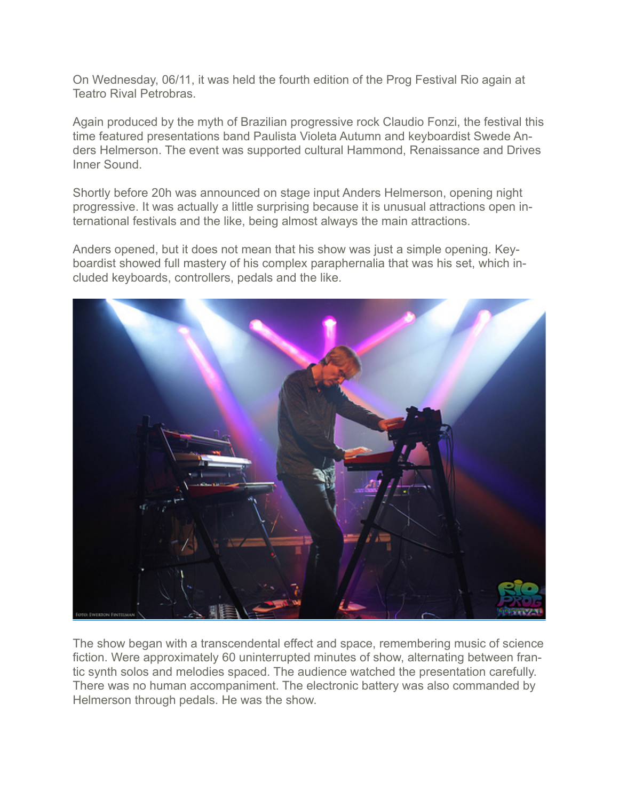On Wednesday, 06/11, it was held the fourth edition of the Prog Festival Rio again at Teatro Rival Petrobras.

Again produced by the myth of Brazilian progressive rock Claudio Fonzi, the festival this time featured presentations band Paulista Violeta Autumn and keyboardist Swede Anders Helmerson. The event was supported cultural Hammond, Renaissance and Drives Inner Sound.

Shortly before 20h was announced on stage input Anders Helmerson, opening night progressive. It was actually a little surprising because it is unusual attractions open international festivals and the like, being almost always the main attractions.

Anders opened, but it does not mean that his show was just a simple opening. Keyboardist showed full mastery of his complex paraphernalia that was his set, which included keyboards, controllers, pedals and the like.



The show began with a transcendental effect and space, remembering music of science fiction. Were approximately 60 uninterrupted minutes of show, alternating between frantic synth solos and melodies spaced. The audience watched the presentation carefully. There was no human accompaniment. The electronic battery was also commanded by Helmerson through pedals. He was the show.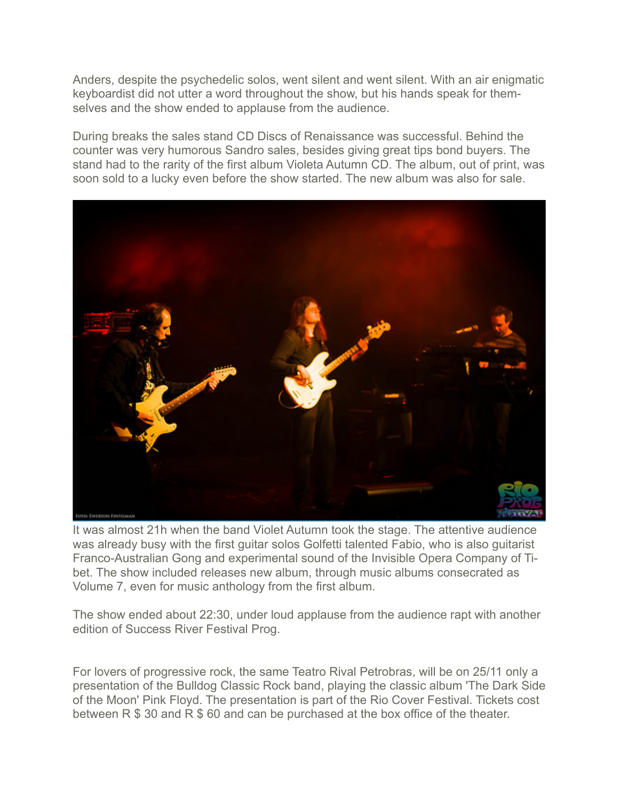Anders, despite the psychedelic solos, went silent and went silent. With an air enigmatic keyboardist did not utter a word throughout the show, but his hands speak for themselves and the show ended to applause from the audience.

During breaks the sales stand CD Discs of Renaissance was successful. Behind the counter was very humorous Sandro sales, besides giving great tips bond buyers. The stand had to the rarity of the first album Violeta Autumn CD. The album, out of print, was soon sold to a lucky even before the show started. The new album was also for sale.



It was almost 21h when the band Violet Autumn took the stage. The attentive audience was already busy with the first guitar solos Golfetti talented Fabio, who is also guitarist Franco-Australian Gong and experimental sound of the Invisible Opera Company of Tibet. The show included releases new album, through music albums consecrated as Volume 7, even for music anthology from the first album.

The show ended about 22:30, under loud applause from the audience rapt with another edition of Success River Festival Prog.

For lovers of progressive rock, the same Teatro Rival Petrobras, will be on 25/11 only a presentation of the Bulldog Classic Rock band, playing the classic album 'The Dark Side of the Moon' Pink Floyd. The presentation is part of the Rio Cover Festival. Tickets cost between R \$ 30 and R \$ 60 and can be purchased at the box office of the theater.